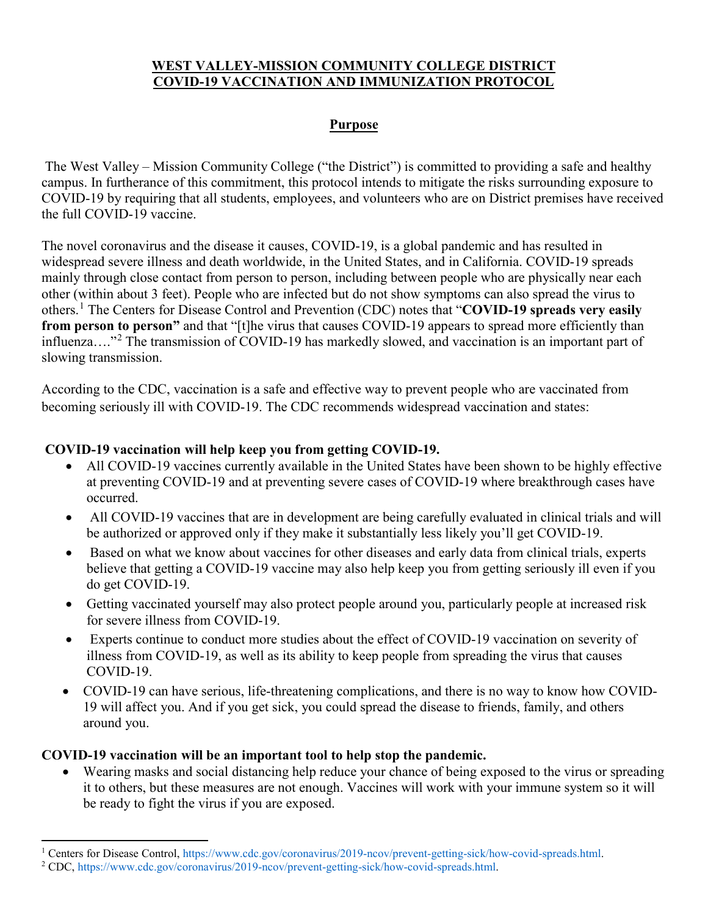## **WEST VALLEY-MISSION COMMUNITY COLLEGE DISTRICT COVID-19 VACCINATION AND IMMUNIZATION PROTOCOL**

#### **Purpose**

The West Valley – Mission Community College ("the District") is committed to providing a safe and healthy campus. In furtherance of this commitment, this protocol intends to mitigate the risks surrounding exposure to COVID-19 by requiring that all students, employees, and volunteers who are on District premises have received the full COVID-19 vaccine.

The novel coronavirus and the disease it causes, COVID-19, is a global pandemic and has resulted in widespread severe illness and death worldwide, in the United States, and in California. COVID-19 spreads mainly through close contact from person to person, including between people who are physically near each other (within about 3 feet). People who are infected but do not show symptoms can also spread the virus to others.[1](#page-0-0) The Centers for Disease Control and Prevention (CDC) notes that "**COVID-19 spreads very easily from person to person"** and that "[t]he virus that causes COVID-19 appears to spread more efficiently than influenza...."<sup>[2](#page-0-1)</sup> The transmission of COVID-19 has markedly slowed, and vaccination is an important part of slowing transmission.

According to the CDC, vaccination is a safe and effective way to prevent people who are vaccinated from becoming seriously ill with COVID-19. The CDC recommends widespread vaccination and states:

#### **COVID-19 vaccination will help keep you from getting COVID-19.**

- All COVID-19 vaccines currently available in the United States have been shown to be highly effective at preventing COVID-19 and at preventing severe cases of COVID-19 where breakthrough cases have occurred.
- All COVID-19 vaccines that are in development are being carefully evaluated in clinical trials and will be authorized or approved only if they make it substantially less likely you'll get COVID-19.
- Based on what we know about vaccines for other diseases and early data from clinical trials, experts believe that getting a COVID-19 vaccine may also help keep you from getting seriously ill even if you do get COVID-19.
- Getting vaccinated yourself may also protect people around you, particularly people at increased risk for severe illness from COVID-19.
- Experts continue to conduct more studies about the effect of COVID-19 vaccination on severity of illness from COVID-19, as well as its ability to keep people from spreading the virus that causes COVID-19.
- COVID-19 can have serious, life-threatening complications, and there is no way to know how COVID-19 will affect you. And if you get sick, you could spread the disease to friends, family, and others around you.

#### **COVID-19 vaccination will be an important tool to help stop the pandemic.**

• Wearing masks and social distancing help reduce your chance of being exposed to the virus or spreading it to others, but these measures are not enough. Vaccines will work with your immune system so it will be ready to fight the virus if you are exposed.

<span id="page-0-0"></span><sup>&</sup>lt;sup>1</sup> Centers for Disease Control, https://www.cdc.gov/coronavirus/2019-ncov/prevent-getting-sick/how-covid-spreads.html. <sup>2</sup> CDC, https://www.cdc.gov/coronavirus/2019-ncov/prevent-getting-sick/how-covid-spreads.html.

<span id="page-0-1"></span>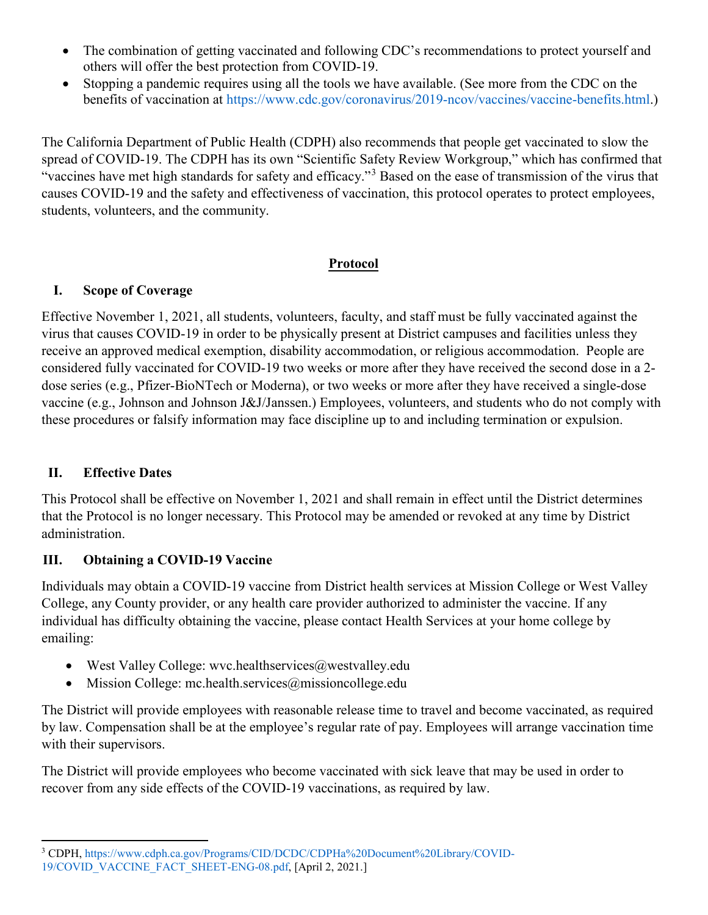- The combination of getting vaccinated and following CDC's recommendations to protect yourself and others will offer the best protection from COVID-19.
- Stopping a pandemic requires using all the tools we have available. (See more from the CDC on the benefits of vaccination at https://www.cdc.gov/coronavirus/2019-ncov/vaccines/vaccine-benefits.html.)

The California Department of Public Health (CDPH) also recommends that people get vaccinated to slow the spread of COVID-19. The CDPH has its own "Scientific Safety Review Workgroup," which has confirmed that "vaccines have met high standards for safety and efficacy."[3](#page-1-0) Based on the ease of transmission of the virus that causes COVID-19 and the safety and effectiveness of vaccination, this protocol operates to protect employees, students, volunteers, and the community.

## **Protocol**

## **I. Scope of Coverage**

Effective November 1, 2021, all students, volunteers, faculty, and staff must be fully vaccinated against the virus that causes COVID-19 in order to be physically present at District campuses and facilities unless they receive an approved medical exemption, disability accommodation, or religious accommodation. People are considered fully vaccinated for COVID-19 two weeks or more after they have received the second dose in a 2 dose series (e.g., Pfizer-BioNTech or Moderna), or two weeks or more after they have received a single-dose vaccine (e.g., Johnson and Johnson J&J/Janssen.) Employees, volunteers, and students who do not comply with these procedures or falsify information may face discipline up to and including termination or expulsion.

## **II. Effective Dates**

This Protocol shall be effective on November 1, 2021 and shall remain in effect until the District determines that the Protocol is no longer necessary. This Protocol may be amended or revoked at any time by District administration.

## **III. Obtaining a COVID-19 Vaccine**

Individuals may obtain a COVID-19 vaccine from District health services at Mission College or West Valley College, any County provider, or any health care provider authorized to administer the vaccine. If any individual has difficulty obtaining the vaccine, please contact Health Services at your home college by emailing:

- West Valley College: wvc.healthservices@westvalley.edu
- Mission College: mc.health.services $@$ missioncollege.edu

The District will provide employees with reasonable release time to travel and become vaccinated, as required by law. Compensation shall be at the employee's regular rate of pay. Employees will arrange vaccination time with their supervisors.

The District will provide employees who become vaccinated with sick leave that may be used in order to recover from any side effects of the COVID-19 vaccinations, as required by law.

<span id="page-1-0"></span>l <sup>3</sup> CDPH, https://www.cdph.ca.gov/Programs/CID/DCDC/CDPHa%20Document%20Library/COVID-19/COVID\_VACCINE\_FACT\_SHEET-ENG-08.pdf, [April 2, 2021.]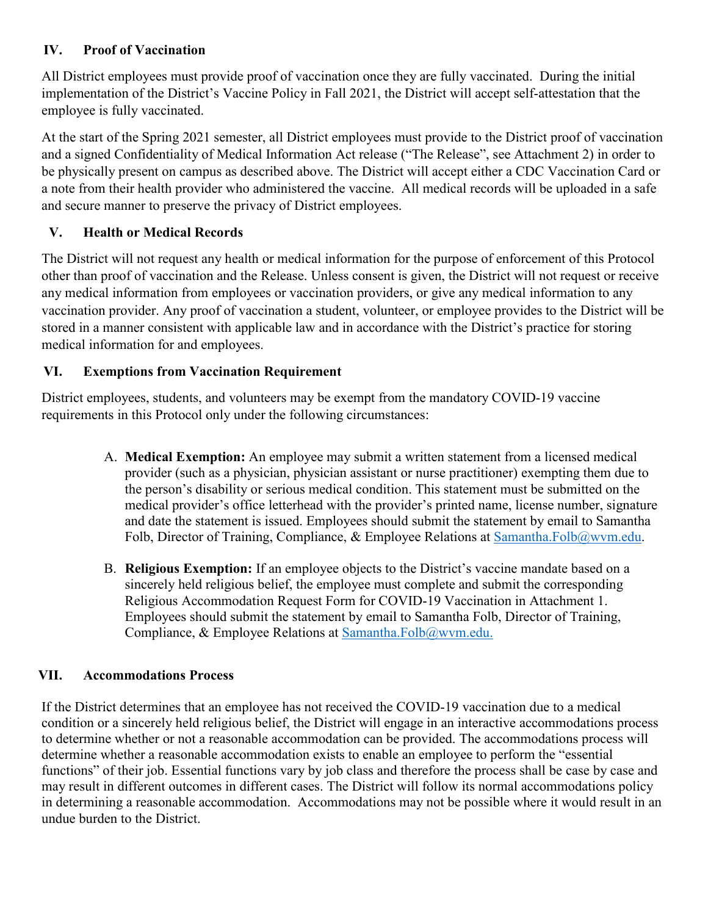## **IV. Proof of Vaccination**

All District employees must provide proof of vaccination once they are fully vaccinated. During the initial implementation of the District's Vaccine Policy in Fall 2021, the District will accept self-attestation that the employee is fully vaccinated.

At the start of the Spring 2021 semester, all District employees must provide to the District proof of vaccination and a signed Confidentiality of Medical Information Act release ("The Release", see Attachment 2) in order to be physically present on campus as described above. The District will accept either a CDC Vaccination Card or a note from their health provider who administered the vaccine. All medical records will be uploaded in a safe and secure manner to preserve the privacy of District employees.

# **V. Health or Medical Records**

The District will not request any health or medical information for the purpose of enforcement of this Protocol other than proof of vaccination and the Release. Unless consent is given, the District will not request or receive any medical information from employees or vaccination providers, or give any medical information to any vaccination provider. Any proof of vaccination a student, volunteer, or employee provides to the District will be stored in a manner consistent with applicable law and in accordance with the District's practice for storing medical information for and employees.

## **VI. Exemptions from Vaccination Requirement**

District employees, students, and volunteers may be exempt from the mandatory COVID-19 vaccine requirements in this Protocol only under the following circumstances:

- A. **Medical Exemption:** An employee may submit a written statement from a licensed medical provider (such as a physician, physician assistant or nurse practitioner) exempting them due to the person's disability or serious medical condition. This statement must be submitted on the medical provider's office letterhead with the provider's printed name, license number, signature and date the statement is issued. Employees should submit the statement by email to Samantha Folb, Director of Training, Compliance, & Employee Relations at [Samantha.Folb@wvm.edu.](mailto:Samantha.Folb@wvm.edu)
- B. **Religious Exemption:** If an employee objects to the District's vaccine mandate based on a sincerely held religious belief, the employee must complete and submit the corresponding Religious Accommodation Request Form for COVID-19 Vaccination in Attachment 1. Employees should submit the statement by email to Samantha Folb, Director of Training, Compliance, & Employee Relations at [Samantha.Folb@wvm.edu.](mailto:Samantha.Folb@wvm.edu)

## **VII. Accommodations Process**

If the District determines that an employee has not received the COVID-19 vaccination due to a medical condition or a sincerely held religious belief, the District will engage in an interactive accommodations process to determine whether or not a reasonable accommodation can be provided. The accommodations process will determine whether a reasonable accommodation exists to enable an employee to perform the "essential functions" of their job. Essential functions vary by job class and therefore the process shall be case by case and may result in different outcomes in different cases. The District will follow its normal accommodations policy in determining a reasonable accommodation. Accommodations may not be possible where it would result in an undue burden to the District.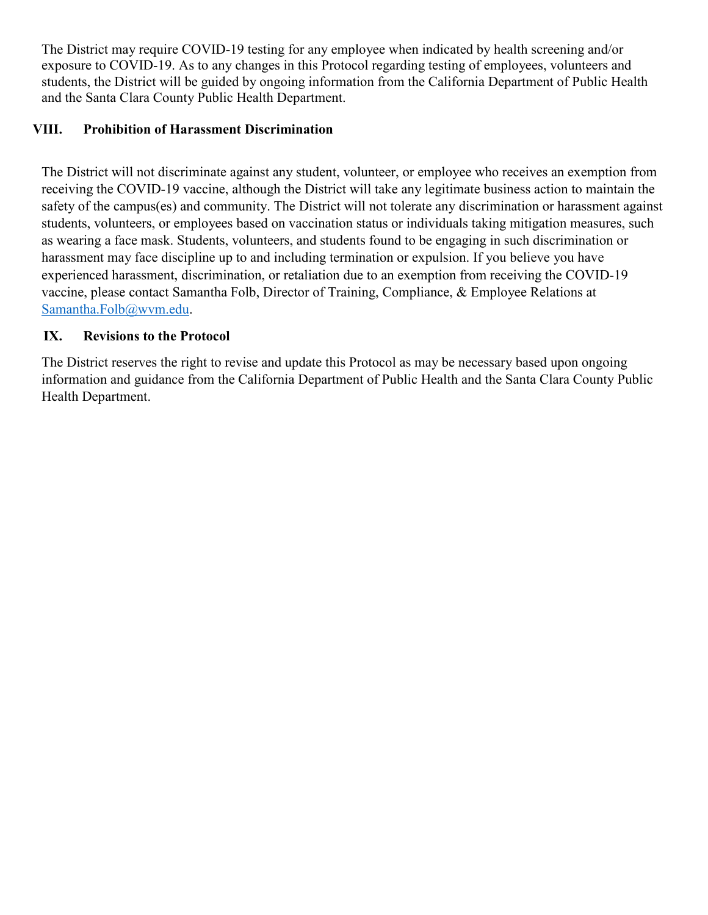The District may require COVID-19 testing for any employee when indicated by health screening and/or exposure to COVID-19. As to any changes in this Protocol regarding testing of employees, volunteers and students, the District will be guided by ongoing information from the California Department of Public Health and the Santa Clara County Public Health Department.

#### **VIII. Prohibition of Harassment Discrimination**

The District will not discriminate against any student, volunteer, or employee who receives an exemption from receiving the COVID-19 vaccine, although the District will take any legitimate business action to maintain the safety of the campus(es) and community. The District will not tolerate any discrimination or harassment against students, volunteers, or employees based on vaccination status or individuals taking mitigation measures, such as wearing a face mask. Students, volunteers, and students found to be engaging in such discrimination or harassment may face discipline up to and including termination or expulsion. If you believe you have experienced harassment, discrimination, or retaliation due to an exemption from receiving the COVID-19 vaccine, please contact Samantha Folb, Director of Training, Compliance, & Employee Relations at [Samantha.Folb@wvm.edu.](mailto:Samantha.Folb@wvm.edu)

#### **IX. Revisions to the Protocol**

The District reserves the right to revise and update this Protocol as may be necessary based upon ongoing information and guidance from the California Department of Public Health and the Santa Clara County Public Health Department.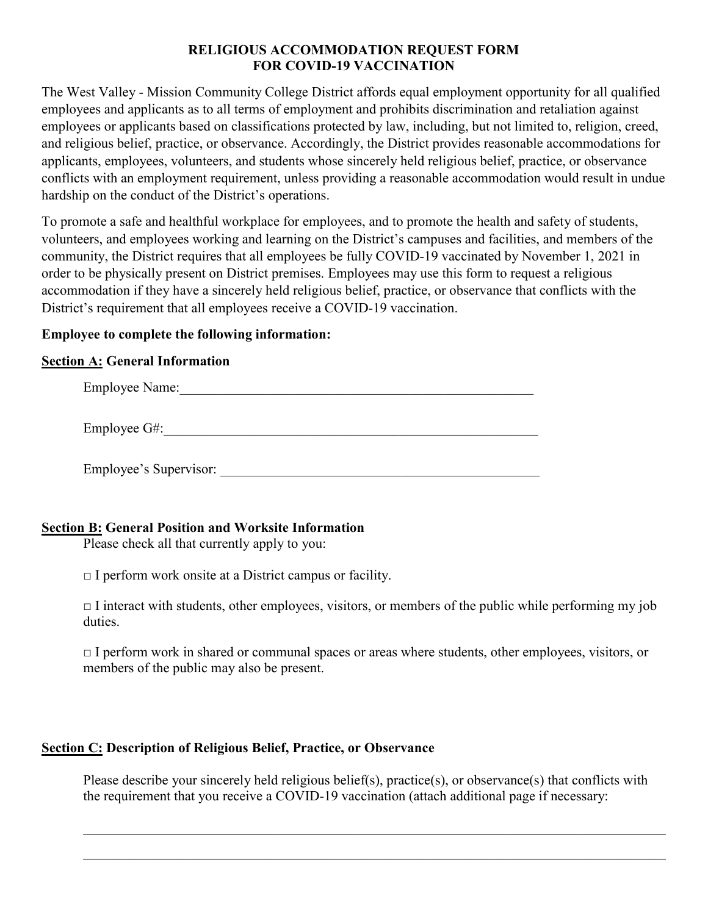#### **RELIGIOUS ACCOMMODATION REQUEST FORM FOR COVID-19 VACCINATION**

The West Valley - Mission Community College District affords equal employment opportunity for all qualified employees and applicants as to all terms of employment and prohibits discrimination and retaliation against employees or applicants based on classifications protected by law, including, but not limited to, religion, creed, and religious belief, practice, or observance. Accordingly, the District provides reasonable accommodations for applicants, employees, volunteers, and students whose sincerely held religious belief, practice, or observance conflicts with an employment requirement, unless providing a reasonable accommodation would result in undue hardship on the conduct of the District's operations.

To promote a safe and healthful workplace for employees, and to promote the health and safety of students, volunteers, and employees working and learning on the District's campuses and facilities, and members of the community, the District requires that all employees be fully COVID-19 vaccinated by November 1, 2021 in order to be physically present on District premises. Employees may use this form to request a religious accommodation if they have a sincerely held religious belief, practice, or observance that conflicts with the District's requirement that all employees receive a COVID-19 vaccination.

#### **Employee to complete the following information:**

#### **Section A: General Information**

| <b>Employee Name:</b>  |
|------------------------|
|                        |
| Employee G#:           |
|                        |
| Employee's Supervisor: |
|                        |

#### **Section B: General Position and Worksite Information**

Please check all that currently apply to you:

 $\Box$  I perform work onsite at a District campus or facility.

 $\Box$  I interact with students, other employees, visitors, or members of the public while performing my job duties.

 $\Box$  I perform work in shared or communal spaces or areas where students, other employees, visitors, or members of the public may also be present.

#### **Section C: Description of Religious Belief, Practice, or Observance**

Please describe your sincerely held religious belief(s), practice(s), or observance(s) that conflicts with the requirement that you receive a COVID-19 vaccination (attach additional page if necessary:

\_\_\_\_\_\_\_\_\_\_\_\_\_\_\_\_\_\_\_\_\_\_\_\_\_\_\_\_\_\_\_\_\_\_\_\_\_\_\_\_\_\_\_\_\_\_\_\_\_\_\_\_\_\_\_\_\_\_\_\_\_\_\_\_\_\_\_\_\_\_\_\_\_\_\_\_\_\_\_\_\_\_\_\_